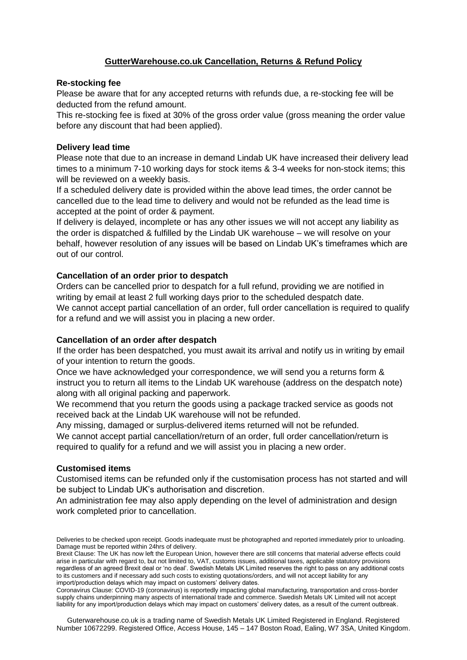# **GutterWarehouse.co.uk Cancellation, Returns & Refund Policy**

### **Re-stocking fee**

Please be aware that for any accepted returns with refunds due, a re-stocking fee will be deducted from the refund amount.

This re-stocking fee is fixed at 30% of the gross order value (gross meaning the order value before any discount that had been applied).

### **Delivery lead time**

Please note that due to an increase in demand Lindab UK have increased their delivery lead times to a minimum 7-10 working days for stock items & 3-4 weeks for non-stock items; this will be reviewed on a weekly basis.

If a scheduled delivery date is provided within the above lead times, the order cannot be cancelled due to the lead time to delivery and would not be refunded as the lead time is accepted at the point of order & payment.

If delivery is delayed, incomplete or has any other issues we will not accept any liability as the order is dispatched & fulfilled by the Lindab UK warehouse – we will resolve on your behalf, however resolution of any issues will be based on Lindab UK's timeframes which are out of our control.

#### **Cancellation of an order prior to despatch**

Orders can be cancelled prior to despatch for a full refund, providing we are notified in writing by email at least 2 full working days prior to the scheduled despatch date. We cannot accept partial cancellation of an order, full order cancellation is required to qualify for a refund and we will assist you in placing a new order.

## **Cancellation of an order after despatch**

If the order has been despatched, you must await its arrival and notify us in writing by email of your intention to return the goods.

Once we have acknowledged your correspondence, we will send you a returns form & instruct you to return all items to the Lindab UK warehouse (address on the despatch note) along with all original packing and paperwork.

We recommend that you return the goods using a package tracked service as goods not received back at the Lindab UK warehouse will not be refunded.

Any missing, damaged or surplus-delivered items returned will not be refunded. We cannot accept partial cancellation/return of an order, full order cancellation/return is required to qualify for a refund and we will assist you in placing a new order.

## **Customised items**

Customised items can be refunded only if the customisation process has not started and will be subject to Lindab UK's authorisation and discretion.

An administration fee may also apply depending on the level of administration and design work completed prior to cancellation.

Guterwarehouse.co.uk is a trading name of Swedish Metals UK Limited Registered in England. Registered Number 10672299. Registered Office, Access House, 145 – 147 Boston Road, Ealing, W7 3SA, United Kingdom.

Deliveries to be checked upon receipt. Goods inadequate must be photographed and reported immediately prior to unloading. Damage must be reported within 24hrs of delivery.

Brexit Clause: The UK has now left the European Union, however there are still concerns that material adverse effects could arise in particular with regard to, but not limited to, VAT, customs issues, additional taxes, applicable statutory provisions regardless of an agreed Brexit deal or 'no deal'. Swedish Metals UK Limited reserves the right to pass on any additional costs to its customers and if necessary add such costs to existing quotations/orders, and will not accept liability for any import/production delays which may impact on customers' delivery dates.

Coronavirus Clause: COVID-19 (coronavirus) is reportedly impacting global manufacturing, transportation and cross-border supply chains underpinning many aspects of international trade and commerce. Swedish Metals UK Limited will not accept liability for any import/production delays which may impact on customers' delivery dates, as a result of the current outbreak.